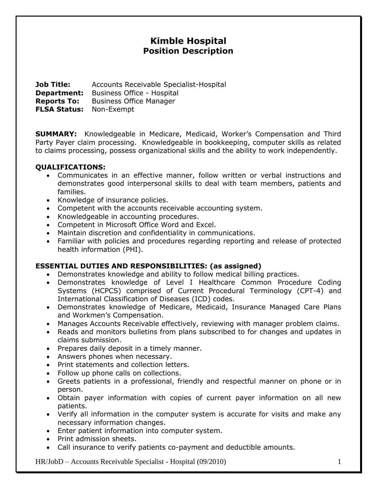# **Kimble Hospital Position Description**

**Job Title:** Accounts Receivable Specialist-Hospital **Department:** Business Office - Hospital **Reports To:** Business Office Manager **FLSA Status:** Non-Exempt

**SUMMARY:** Knowledgeable in Medicare, Medicaid, Worker's Compensation and Third Party Payer claim processing. Knowledgeable in bookkeeping, computer skills as related to claims processing, possess organizational skills and the ability to work independently.

### **QUALIFICATIONS:**

- Communicates in an effective manner, follow written or verbal instructions and demonstrates good interpersonal skills to deal with team members, patients and families.
- Knowledge of insurance policies.
- Competent with the accounts receivable accounting system.
- Knowledgeable in accounting procedures.
- Competent in Microsoft Office Word and Excel.
- Maintain discretion and confidentiality in communications.
- Familiar with policies and procedures regarding reporting and release of protected health information (PHI).

# **ESSENTIAL DUTIES AND RESPONSIBILITIES: (as assigned)**

- Demonstrates knowledge and ability to follow medical billing practices.
- Demonstrates knowledge of Level I Healthcare Common Procedure Coding Systems (HCPCS) comprised of Current Procedural Terminology (CPT-4) and International Classification of Diseases (ICD) codes.
- Demonstrates knowledge of Medicare, Medicaid, Insurance Managed Care Plans and Workmen's Compensation.
- Manages Accounts Receivable effectively, reviewing with manager problem claims.
- Reads and monitors bulletins from plans subscribed to for changes and updates in claims submission.
- Prepares daily deposit in a timely manner.
- Answers phones when necessary.
- Print statements and collection letters.
- Follow up phone calls on collections.
- Greets patients in a professional, friendly and respectful manner on phone or in person.
- Obtain payer information with copies of current payer information on all new patients.
- Verify all information in the computer system is accurate for visits and make any necessary information changes.
- Enter patient information into computer system.
- Print admission sheets.
- Call insurance to verify patients co-payment and deductible amounts.

HR/JobD – Accounts Receivable Specialist - Hospital (09/2010) 1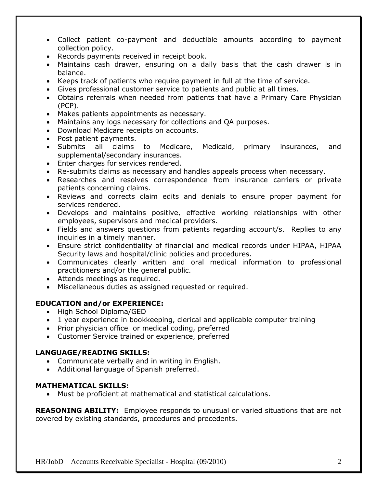- Collect patient co-payment and deductible amounts according to payment collection policy.
- Records payments received in receipt book.
- Maintains cash drawer, ensuring on a daily basis that the cash drawer is in balance.
- Keeps track of patients who require payment in full at the time of service.
- Gives professional customer service to patients and public at all times.
- Obtains referrals when needed from patients that have a Primary Care Physician (PCP).
- Makes patients appointments as necessary.
- Maintains any logs necessary for collections and QA purposes.
- Download Medicare receipts on accounts.
- Post patient payments.
- Submits all claims to Medicare, Medicaid, primary insurances, and supplemental/secondary insurances.
- Enter charges for services rendered.
- Re-submits claims as necessary and handles appeals process when necessary.
- Researches and resolves correspondence from insurance carriers or private patients concerning claims.
- Reviews and corrects claim edits and denials to ensure proper payment for services rendered.
- Develops and maintains positive, effective working relationships with other employees, supervisors and medical providers.
- Fields and answers questions from patients regarding account/s. Replies to any inquiries in a timely manner.
- Ensure strict confidentiality of financial and medical records under HIPAA, HIPAA Security laws and hospital/clinic policies and procedures.
- Communicates clearly written and oral medical information to professional practitioners and/or the general public.
- Attends meetings as required.
- Miscellaneous duties as assigned requested or required.

# **EDUCATION and/or EXPERIENCE:**

- High School Diploma/GED
- 1 year experience in bookkeeping, clerical and applicable computer training
- Prior physician office or medical coding, preferred
- Customer Service trained or experience, preferred

# **LANGUAGE/READING SKILLS:**

- Communicate verbally and in writing in English.
- Additional language of Spanish preferred.

### **MATHEMATICAL SKILLS:**

Must be proficient at mathematical and statistical calculations.

**REASONING ABILITY:** Employee responds to unusual or varied situations that are not covered by existing standards, procedures and precedents.